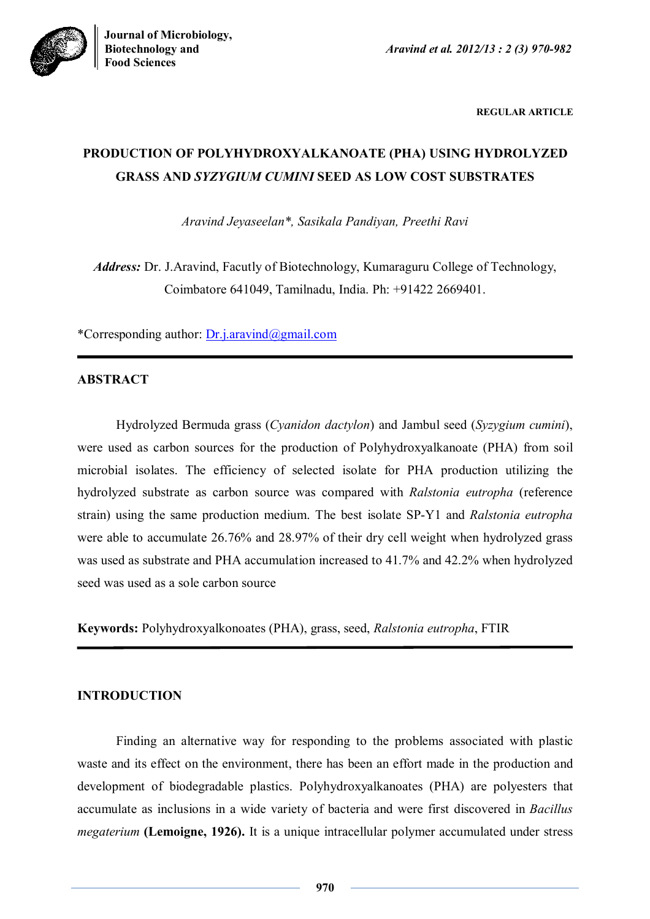**Biotechnology and** *Aravind et al. 2012/13 : 2 (3) 970-982*



**REGULAR ARTICLE**

# **PRODUCTION OF POLYHYDROXYALKANOATE (PHA) USING HYDROLYZED GRASS AND** *SYZYGIUM CUMINI* **SEED AS LOW COST SUBSTRATES**

*Aravind Jeyaseelan\*, Sasikala Pandiyan, Preethi Ravi*

*Address:* Dr. J.Aravind, Facutly of Biotechnology, Kumaraguru College of Technology, Coimbatore 641049, Tamilnadu, India. Ph: +91422 2669401.

\*Corresponding author: Dr.j.aravind@gmail.com

# **ABSTRACT**

Hydrolyzed Bermuda grass (*Cyanidon dactylon*) and Jambul seed (*Syzygium cumini*), were used as carbon sources for the production of Polyhydroxyalkanoate (PHA) from soil microbial isolates. The efficiency of selected isolate for PHA production utilizing the hydrolyzed substrate as carbon source was compared with *Ralstonia eutropha* (reference strain) using the same production medium. The best isolate SP-Y1 and *Ralstonia eutropha* were able to accumulate 26.76% and 28.97% of their dry cell weight when hydrolyzed grass was used as substrate and PHA accumulation increased to 41.7% and 42.2% when hydrolyzed seed was used as a sole carbon source

**Keywords:** Polyhydroxyalkonoates (PHA), grass, seed, *Ralstonia eutropha*, FTIR

# **INTRODUCTION**

Finding an alternative way for responding to the problems associated with plastic waste and its effect on the environment, there has been an effort made in the production and development of biodegradable plastics. Polyhydroxyalkanoates (PHA) are polyesters that accumulate as inclusions in a wide variety of bacteria and were first discovered in *Bacillus megaterium* **(Lemoigne, 1926).** It is a unique intracellular polymer accumulated under stress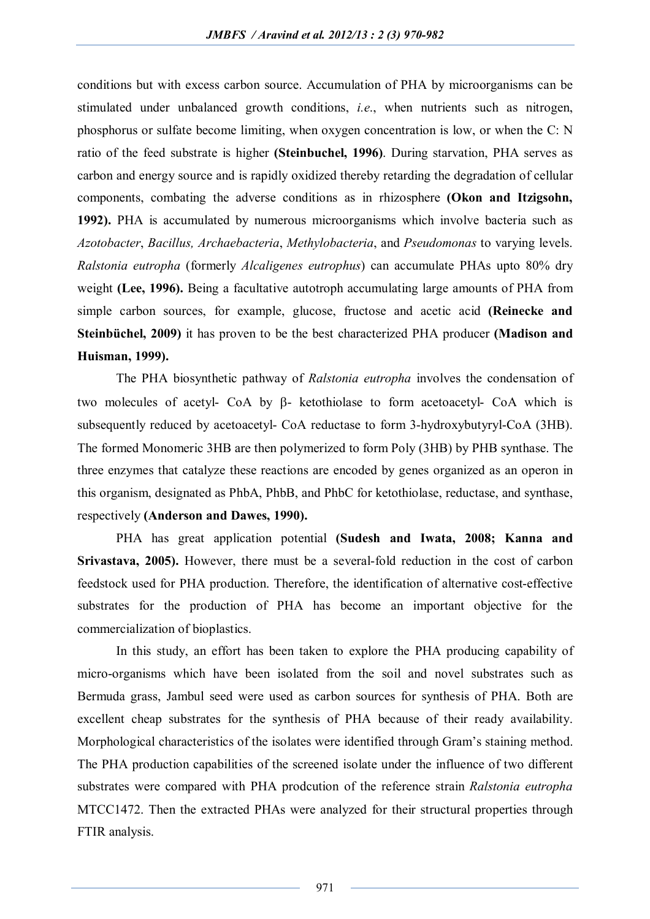conditions but with excess carbon source. Accumulation of PHA by microorganisms can be stimulated under unbalanced growth conditions, *i.e*., when nutrients such as nitrogen, phosphorus or sulfate become limiting, when oxygen concentration is low, or when the C: N ratio of the feed substrate is higher **(Steinbuchel, 1996)**. During starvation, PHA serves as carbon and energy source and is rapidly oxidized thereby retarding the degradation of cellular components, combating the adverse conditions as in rhizosphere **(Okon and Itzigsohn, 1992).** PHA is accumulated by numerous microorganisms which involve bacteria such as *Azotobacter*, *Bacillus, Archaebacteria*, *Methylobacteria*, and *Pseudomonas* to varying levels. *Ralstonia eutropha* (formerly *Alcaligenes eutrophus*) can accumulate PHAs upto 80% dry weight **(Lee, 1996).** Being a facultative autotroph accumulating large amounts of PHA from simple carbon sources, for example, glucose, fructose and acetic acid **(Reinecke and Steinbüchel, 2009)** it has proven to be the best characterized PHA producer **(Madison and Huisman, 1999).**

The PHA biosynthetic pathway of *Ralstonia eutropha* involves the condensation of two molecules of acetyl- CoA by  $\beta$ - ketothiolase to form acetoacetyl- CoA which is subsequently reduced by acetoacetyl- CoA reductase to form 3-hydroxybutyryl-CoA (3HB). The formed Monomeric 3HB are then polymerized to form Poly (3HB) by PHB synthase. The three enzymes that catalyze these reactions are encoded by genes organized as an operon in this organism, designated as PhbA, PhbB, and PhbC for ketothiolase, reductase, and synthase, respectively **(Anderson and Dawes, 1990).**

PHA has great application potential **(Sudesh and Iwata, 2008; Kanna and Srivastava, 2005).** However, there must be a several-fold reduction in the cost of carbon feedstock used for PHA production. Therefore, the identification of alternative cost-effective substrates for the production of PHA has become an important objective for the commercialization of bioplastics.

In this study, an effort has been taken to explore the PHA producing capability of micro-organisms which have been isolated from the soil and novel substrates such as Bermuda grass, Jambul seed were used as carbon sources for synthesis of PHA. Both are excellent cheap substrates for the synthesis of PHA because of their ready availability. Morphological characteristics of the isolates were identified through Gram's staining method. The PHA production capabilities of the screened isolate under the influence of two different substrates were compared with PHA prodcution of the reference strain *Ralstonia eutropha*  MTCC1472. Then the extracted PHAs were analyzed for their structural properties through FTIR analysis.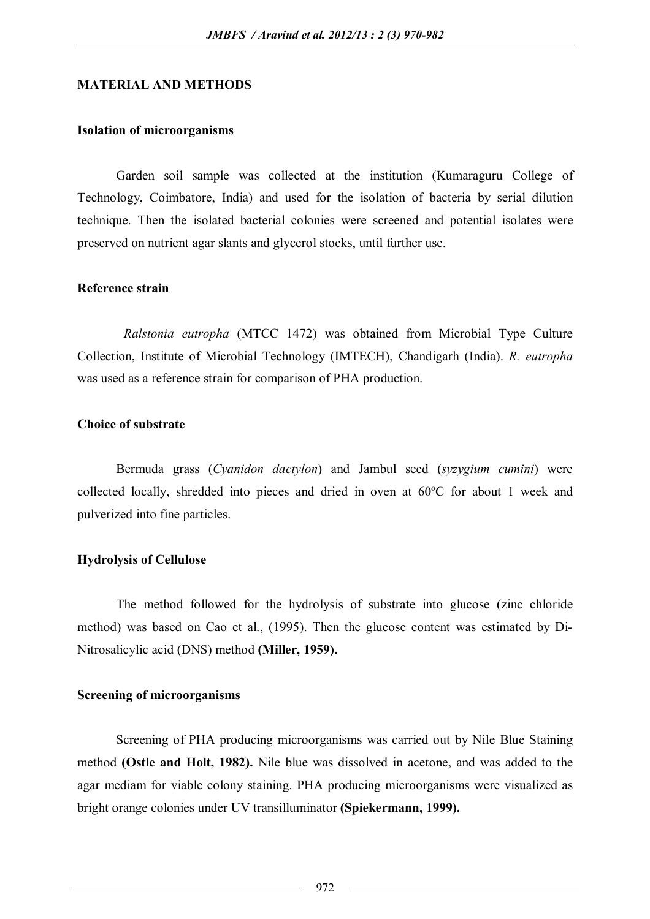#### **MATERIAL AND METHODS**

## **Isolation of microorganisms**

Garden soil sample was collected at the institution (Kumaraguru College of Technology, Coimbatore, India) and used for the isolation of bacteria by serial dilution technique. Then the isolated bacterial colonies were screened and potential isolates were preserved on nutrient agar slants and glycerol stocks, until further use.

#### **Reference strain**

*Ralstonia eutropha* (MTCC 1472) was obtained from Microbial Type Culture Collection, Institute of Microbial Technology (IMTECH), Chandigarh (India). *R. eutropha* was used as a reference strain for comparison of PHA production.

# **Choice of substrate**

Bermuda grass (*Cyanidon dactylon*) and Jambul seed (*syzygium cumini*) were collected locally, shredded into pieces and dried in oven at 60ºC for about 1 week and pulverized into fine particles.

#### **Hydrolysis of Cellulose**

The method followed for the hydrolysis of substrate into glucose (zinc chloride method) was based on Cao et al., (1995). Then the glucose content was estimated by Di-Nitrosalicylic acid (DNS) method **(Miller, 1959).**

#### **Screening of microorganisms**

Screening of PHA producing microorganisms was carried out by Nile Blue Staining method **(Ostle and Holt, 1982).** Nile blue was dissolved in acetone, and was added to the agar mediam for viable colony staining. PHA producing microorganisms were visualized as bright orange colonies under UV transilluminator **(Spiekermann, 1999).**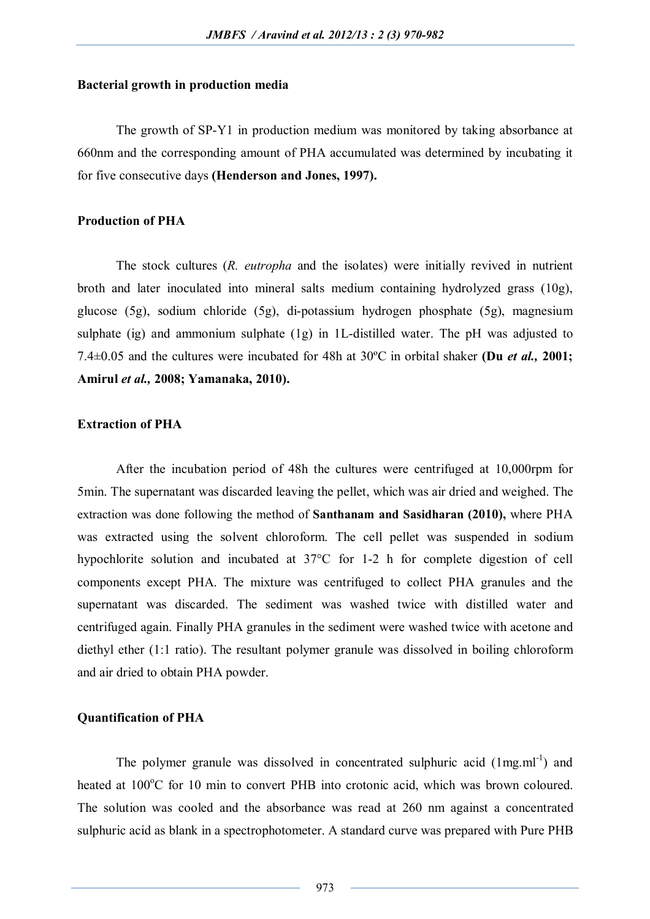#### **Bacterial growth in production media**

The growth of SP-Y1 in production medium was monitored by taking absorbance at 660nm and the corresponding amount of PHA accumulated was determined by incubating it for five consecutive days **(Henderson and Jones, 1997).**

#### **Production of PHA**

The stock cultures (*R. eutropha* and the isolates) were initially revived in nutrient broth and later inoculated into mineral salts medium containing hydrolyzed grass (10g), glucose (5g), sodium chloride (5g), di-potassium hydrogen phosphate (5g), magnesium sulphate (ig) and ammonium sulphate (1g) in 1L-distilled water. The pH was adjusted to 7.4±0.05 and the cultures were incubated for 48h at 30ºC in orbital shaker **(Du** *et al.,* **2001; Amirul** *et al.,* **2008; Yamanaka, 2010).**

## **Extraction of PHA**

After the incubation period of 48h the cultures were centrifuged at 10,000rpm for 5min. The supernatant was discarded leaving the pellet, which was air dried and weighed. The extraction was done following the method of **Santhanam and Sasidharan (2010),** where PHA was extracted using the solvent chloroform. The cell pellet was suspended in sodium hypochlorite solution and incubated at 37°C for 1-2 h for complete digestion of cell components except PHA. The mixture was centrifuged to collect PHA granules and the supernatant was discarded. The sediment was washed twice with distilled water and centrifuged again. Finally PHA granules in the sediment were washed twice with acetone and diethyl ether (1:1 ratio). The resultant polymer granule was dissolved in boiling chloroform and air dried to obtain PHA powder.

#### **Quantification of PHA**

The polymer granule was dissolved in concentrated sulphuric acid  $(1mg.m<sup>-1</sup>)$  and heated at  $100^{\circ}$ C for 10 min to convert PHB into crotonic acid, which was brown coloured. The solution was cooled and the absorbance was read at 260 nm against a concentrated sulphuric acid as blank in a spectrophotometer. A standard curve was prepared with Pure PHB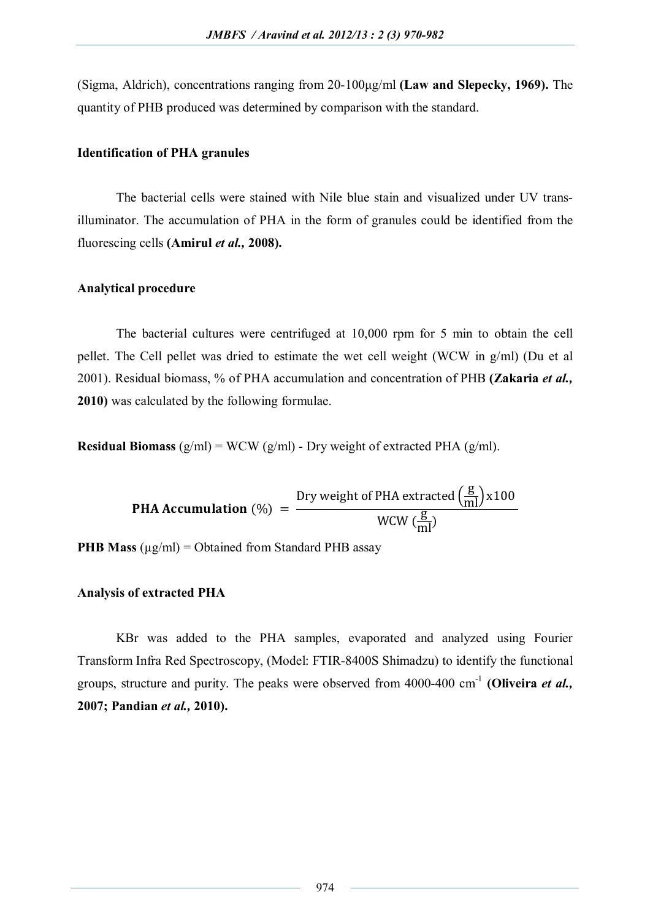(Sigma, Aldrich), concentrations ranging from 20-100μg/ml **(Law and Slepecky, 1969).** The quantity of PHB produced was determined by comparison with the standard.

#### **Identification of PHA granules**

The bacterial cells were stained with Nile blue stain and visualized under UV transilluminator. The accumulation of PHA in the form of granules could be identified from the fluorescing cells **(Amirul** *et al.,* **2008).**

## **Analytical procedure**

The bacterial cultures were centrifuged at 10,000 rpm for 5 min to obtain the cell pellet. The Cell pellet was dried to estimate the wet cell weight (WCW in g/ml) (Du et al 2001). Residual biomass, % of PHA accumulation and concentration of PHB **(Zakaria** *et al.,* **2010)** was calculated by the following formulae.

**Residual Biomass**  $(g/ml) = WCW(g/ml)$  - Dry weight of extracted PHA  $(g/ml)$ .

**PHA Accumulation** (%) = 
$$
\frac{\text{Dry weight of PHA extracted } \left(\frac{g}{ml}\right) \times 100}{\text{WCW } \left(\frac{g}{ml}\right)}
$$

**PHB Mass** ( $\mu$ g/ml) = Obtained from Standard PHB assay

## **Analysis of extracted PHA**

KBr was added to the PHA samples, evaporated and analyzed using Fourier Transform Infra Red Spectroscopy, (Model: FTIR-8400S Shimadzu) to identify the functional groups, structure and purity. The peaks were observed from 4000-400 cm-1 **(Oliveira** *et al.,* **2007; Pandian** *et al.,* **2010).**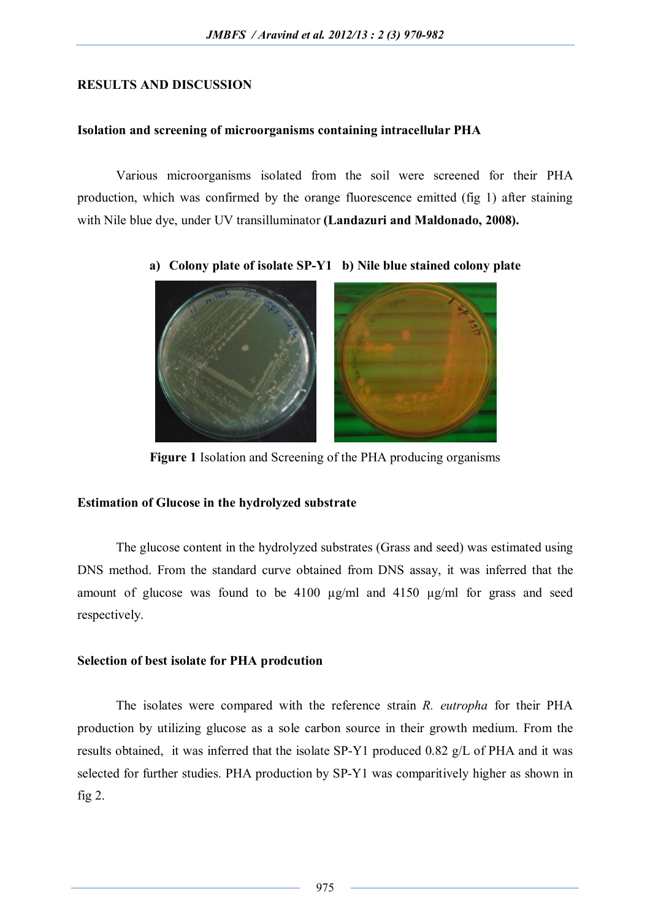# **RESULTS AND DISCUSSION**

# **Isolation and screening of microorganisms containing intracellular PHA**

Various microorganisms isolated from the soil were screened for their PHA production, which was confirmed by the orange fluorescence emitted (fig 1) after staining with Nile blue dye, under UV transilluminator **(Landazuri and Maldonado, 2008).**



**a) Colony plate of isolate SP-Y1 b) Nile blue stained colony plate**

**Figure 1** Isolation and Screening of the PHA producing organisms

# **Estimation of Glucose in the hydrolyzed substrate**

The glucose content in the hydrolyzed substrates (Grass and seed) was estimated using DNS method. From the standard curve obtained from DNS assay, it was inferred that the amount of glucose was found to be 4100 µg/ml and 4150 µg/ml for grass and seed respectively.

# **Selection of best isolate for PHA prodcution**

The isolates were compared with the reference strain *R. eutropha* for their PHA production by utilizing glucose as a sole carbon source in their growth medium. From the results obtained, it was inferred that the isolate SP-Y1 produced 0.82 g/L of PHA and it was selected for further studies. PHA production by SP-Y1 was comparitively higher as shown in fig  $2$ .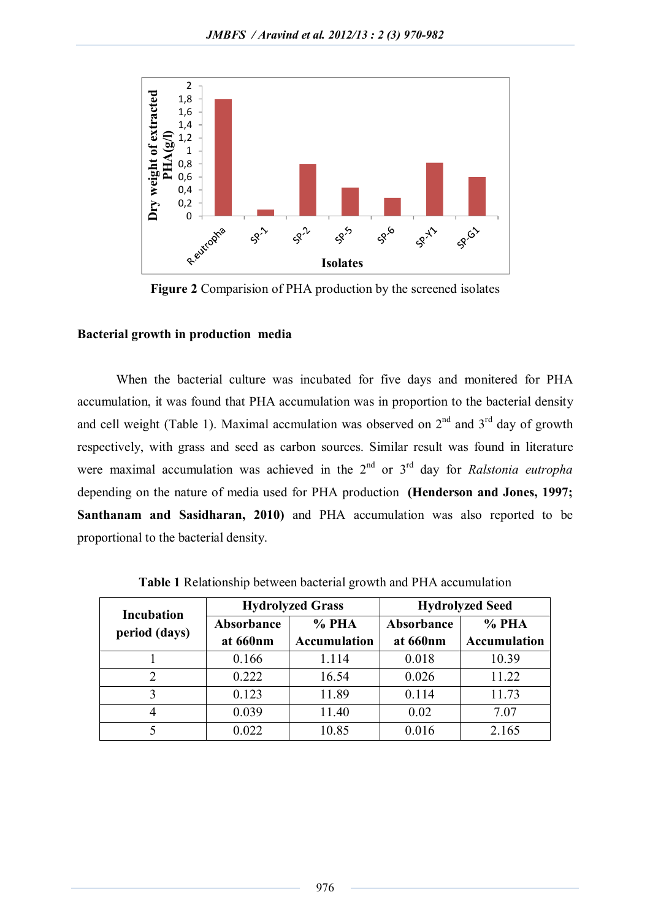

**Figure 2** Comparision of PHA production by the screened isolates

# **Bacterial growth in production media**

When the bacterial culture was incubated for five days and monitered for PHA accumulation, it was found that PHA accumulation was in proportion to the bacterial density and cell weight (Table 1). Maximal accmulation was observed on  $2<sup>nd</sup>$  and  $3<sup>rd</sup>$  day of growth respectively, with grass and seed as carbon sources. Similar result was found in literature were maximal accumulation was achieved in the 2<sup>nd</sup> or 3<sup>rd</sup> day for *Ralstonia eutropha* depending on the nature of media used for PHA production **(Henderson and Jones, 1997; Santhanam and Sasidharan, 2010)** and PHA accumulation was also reported to be proportional to the bacterial density.

| <b>Incubation</b><br>period (days) |            | <b>Hydrolyzed Grass</b> | <b>Hydrolyzed Seed</b> |                     |  |
|------------------------------------|------------|-------------------------|------------------------|---------------------|--|
|                                    | Absorbance | $%$ PHA                 | Absorbance             | $%$ PHA             |  |
|                                    | at 660nm   | <b>Accumulation</b>     | at 660nm               | <b>Accumulation</b> |  |
|                                    | 0.166      | 1.114                   | 0.018                  | 10.39               |  |
| 2                                  | 0.222      | 16.54                   | 0.026                  | 11.22               |  |
| 3                                  | 0.123      | 11.89                   | 0.114                  | 11.73               |  |
| 4                                  | 0.039      | 11.40                   | 0.02                   | 7.07                |  |
|                                    | 0.022      | 10.85                   | 0.016                  | 2.165               |  |

**Table 1** Relationship between bacterial growth and PHA accumulation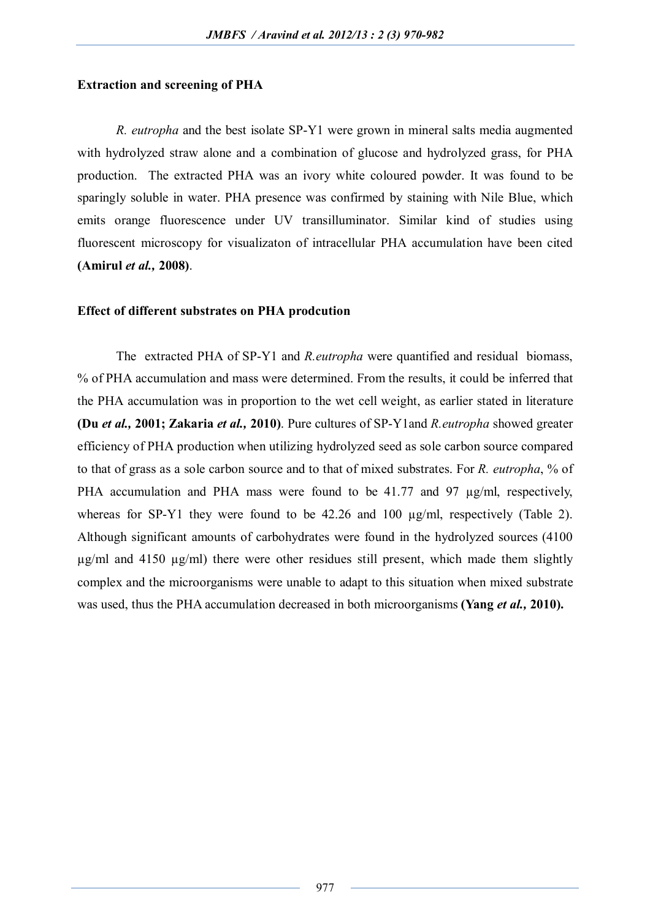### **Extraction and screening of PHA**

*R. eutropha* and the best isolate SP-Y1 were grown in mineral salts media augmented with hydrolyzed straw alone and a combination of glucose and hydrolyzed grass, for PHA production. The extracted PHA was an ivory white coloured powder. It was found to be sparingly soluble in water. PHA presence was confirmed by staining with Nile Blue, which emits orange fluorescence under UV transilluminator. Similar kind of studies using fluorescent microscopy for visualizaton of intracellular PHA accumulation have been cited **(Amirul** *et al.,* **2008)**.

#### **Effect of different substrates on PHA prodcution**

The extracted PHA of SP-Y1 and *R.eutropha* were quantified and residual biomass, % of PHA accumulation and mass were determined. From the results, it could be inferred that the PHA accumulation was in proportion to the wet cell weight, as earlier stated in literature **(Du** *et al.,* **2001; Zakaria** *et al.,* **2010)**. Pure cultures of SP-Y1and *R.eutropha* showed greater efficiency of PHA production when utilizing hydrolyzed seed as sole carbon source compared to that of grass as a sole carbon source and to that of mixed substrates. For *R. eutropha*, % of PHA accumulation and PHA mass were found to be 41.77 and 97  $\mu$ g/ml, respectively, whereas for SP-Y1 they were found to be  $42.26$  and  $100 \mu g/ml$ , respectively (Table 2). Although significant amounts of carbohydrates were found in the hydrolyzed sources (4100  $\mu$ g/ml and 4150  $\mu$ g/ml) there were other residues still present, which made them slightly complex and the microorganisms were unable to adapt to this situation when mixed substrate was used, thus the PHA accumulation decreased in both microorganisms **(Yang** *et al.,* **2010).**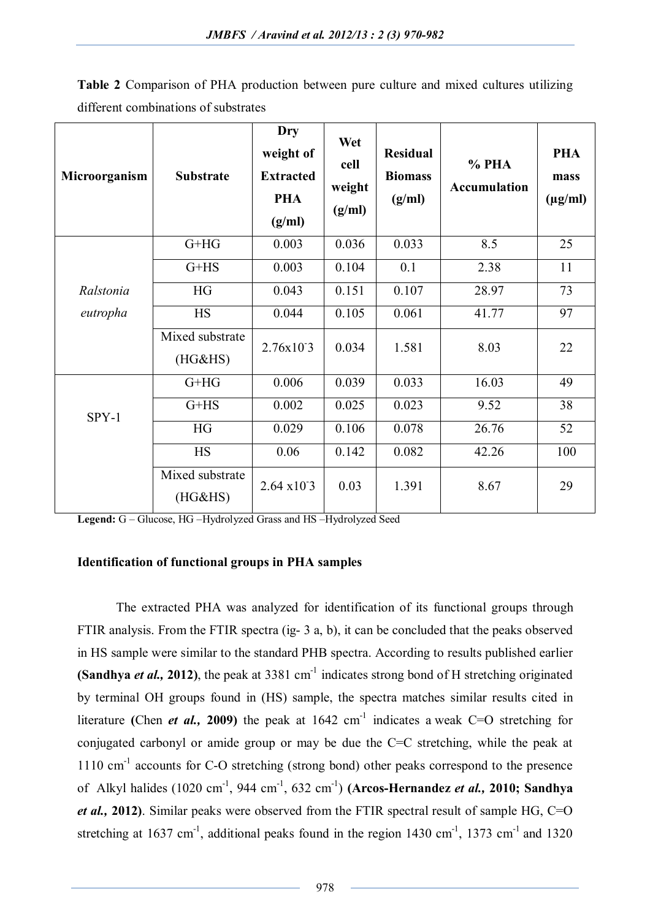| Microorganism | <b>Substrate</b>           | Dry<br>weight of<br><b>Extracted</b><br><b>PHA</b><br>(g/ml) | Wet<br>cell<br>weight<br>(g/ml) | <b>Residual</b><br><b>Biomass</b><br>(g/ml) | $%$ PHA<br><b>Accumulation</b> | <b>PHA</b><br>mass<br>$(\mu g/ml)$ |
|---------------|----------------------------|--------------------------------------------------------------|---------------------------------|---------------------------------------------|--------------------------------|------------------------------------|
|               | $G+HG$                     | 0.003                                                        | 0.036                           | 0.033                                       | 8.5                            | 25                                 |
|               | $G+HS$                     | 0.003                                                        | 0.104                           | 0.1                                         | 2.38                           | 11                                 |
| Ralstonia     | <b>HG</b>                  | 0.043                                                        | 0.151                           | 0.107                                       | 28.97                          | 73                                 |
| eutropha      | <b>HS</b>                  | 0.044                                                        | 0.105                           | 0.061                                       | 41.77                          | 97                                 |
|               | Mixed substrate<br>(HG&HS) | 2.76x103                                                     | 0.034                           | 1.581                                       | 8.03                           | 22                                 |
| $SPY-1$       | $G+HG$                     | 0.006                                                        | 0.039                           | 0.033                                       | 16.03                          | 49                                 |
|               | $G+HS$                     | 0.002                                                        | 0.025                           | 0.023                                       | 9.52                           | 38                                 |
|               | HG                         | 0.029                                                        | 0.106                           | 0.078                                       | 26.76                          | 52                                 |
|               | <b>HS</b>                  | 0.06                                                         | 0.142                           | 0.082                                       | 42.26                          | 100                                |
|               | Mixed substrate<br>(HG&HS) | $2.64 \times 10^{-3}$                                        | 0.03                            | 1.391                                       | 8.67                           | 29                                 |

**Table 2** Comparison of PHA production between pure culture and mixed cultures utilizing different combinations of substrates

**Legend:** G – Glucose, HG –Hydrolyzed Grass and HS –Hydrolyzed Seed

## **Identification of functional groups in PHA samples**

The extracted PHA was analyzed for identification of its functional groups through FTIR analysis. From the FTIR spectra (ig- 3 a, b), it can be concluded that the peaks observed in HS sample were similar to the standard PHB spectra. According to results published earlier (Sandhya *et al.*, 2012), the peak at 3381 cm<sup>-1</sup> indicates strong bond of H stretching originated by terminal OH groups found in (HS) sample, the spectra matches similar results cited in literature (Chen *et al.*, 2009) the peak at 1642 cm<sup>-1</sup> indicates a weak C=O stretching for conjugated carbonyl or amide group or may be due the C=C stretching, while the peak at 1110 cm<sup>-1</sup> accounts for C-O stretching (strong bond) other peaks correspond to the presence of Alkyl halides (1020 cm<sup>-1</sup>, 944 cm<sup>-1</sup>, 632 cm<sup>-1</sup>) (Arcos-Hernandez *et al.*, 2010; Sandhya *et al.,* **2012)**. Similar peaks were observed from the FTIR spectral result of sample HG, C=O stretching at 1637 cm<sup>-1</sup>, additional peaks found in the region 1430 cm<sup>-1</sup>, 1373 cm<sup>-1</sup> and 1320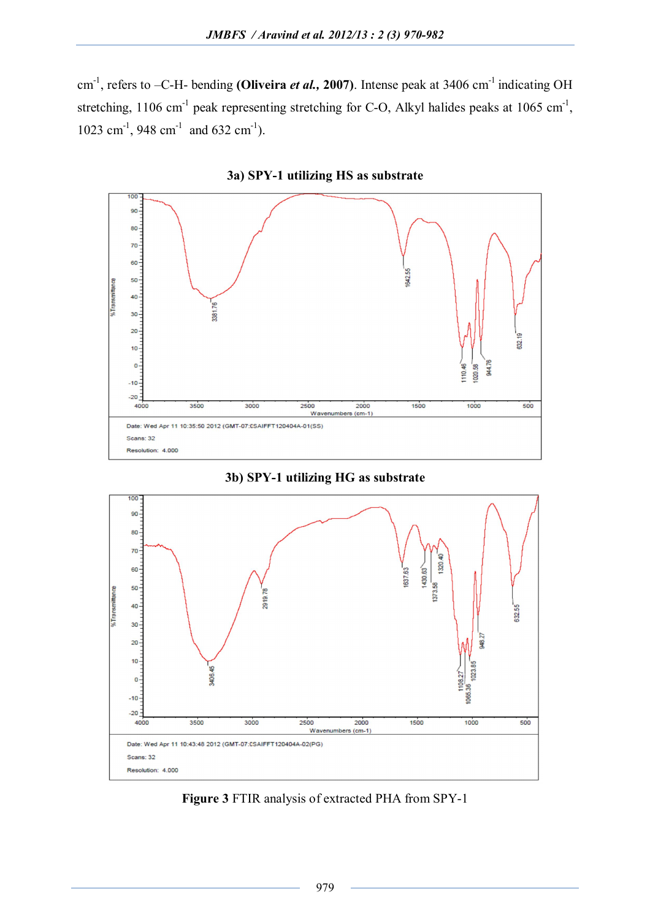cm<sup>-1</sup>, refers to -C-H- bending **(Oliveira** *et al.***, 2007)**. Intense peak at 3406 cm<sup>-1</sup> indicating OH stretching, 1106 cm<sup>-1</sup> peak representing stretching for C-O, Alkyl halides peaks at 1065 cm<sup>-1</sup>, 1023 cm<sup>-1</sup>, 948 cm<sup>-1</sup> and 632 cm<sup>-1</sup>).



**3a) SPY-1 utilizing HS as substrate** 





**Figure 3** FTIR analysis of extracted PHA from SPY-1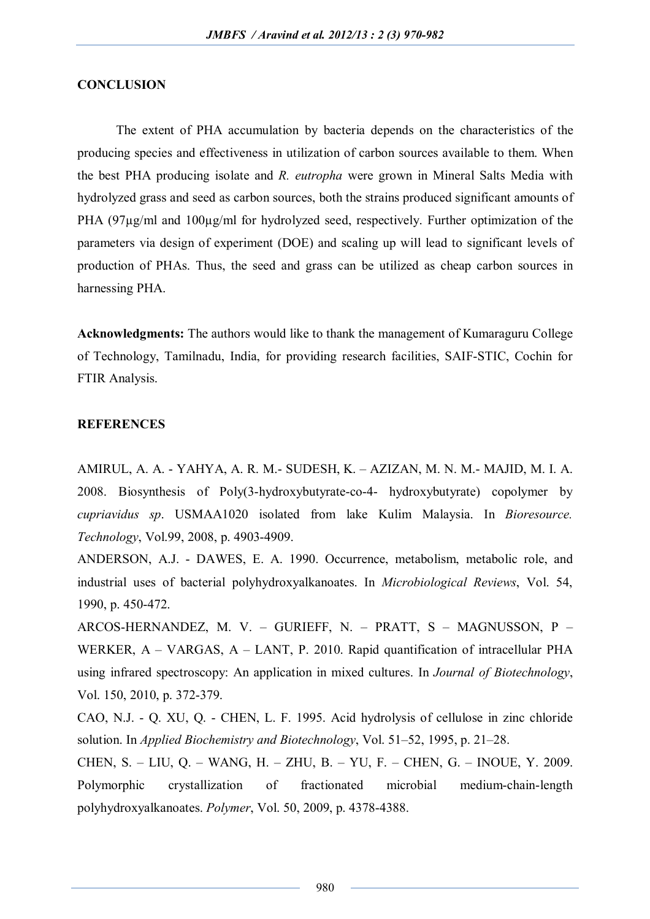# **CONCLUSION**

The extent of PHA accumulation by bacteria depends on the characteristics of the producing species and effectiveness in utilization of carbon sources available to them. When the best PHA producing isolate and *R. eutropha* were grown in Mineral Salts Media with hydrolyzed grass and seed as carbon sources, both the strains produced significant amounts of PHA (97µg/ml and 100µg/ml for hydrolyzed seed, respectively. Further optimization of the parameters via design of experiment (DOE) and scaling up will lead to significant levels of production of PHAs. Thus, the seed and grass can be utilized as cheap carbon sources in harnessing PHA.

**Acknowledgments:** The authors would like to thank the management of Kumaraguru College of Technology, Tamilnadu, India, for providing research facilities, SAIF-STIC, Cochin for FTIR Analysis.

# **REFERENCES**

AMIRUL, A. A. - YAHYA, A. R. M.- SUDESH, K. – AZIZAN, M. N. M.- MAJID, M. I. A. 2008. Biosynthesis of Poly(3-hydroxybutyrate-co-4- hydroxybutyrate) copolymer by *cupriavidus sp*. USMAA1020 isolated from lake Kulim Malaysia. In *Bioresource. Technology*, Vol.99, 2008, p. 4903-4909.

ANDERSON, A.J. - DAWES, E. A. 1990. Occurrence, metabolism, metabolic role, and industrial uses of bacterial polyhydroxyalkanoates. In *Microbiological Reviews*, Vol. 54, 1990, p. 450-472.

ARCOS-HERNANDEZ, M. V. – GURIEFF, N. – PRATT, S – MAGNUSSON, P – WERKER, A – VARGAS, A – LANT, P. 2010. Rapid quantification of intracellular PHA using infrared spectroscopy: An application in mixed cultures. In *Journal of Biotechnology*, Vol. 150, 2010, p. 372-379.

CAO, N.J. - Q. XU, Q. - CHEN, L. F. 1995. Acid hydrolysis of cellulose in zinc chloride solution. In *Applied Biochemistry and Biotechnology*, Vol. 51–52, 1995, p. 21–28.

CHEN, S. – LIU, Q. – WANG, H. – ZHU, B. – YU, F. – CHEN, G. – INOUE, Y. 2009. Polymorphic crystallization of fractionated microbial medium-chain-length polyhydroxyalkanoates. *Polymer*, Vol. 50, 2009, p. 4378-4388.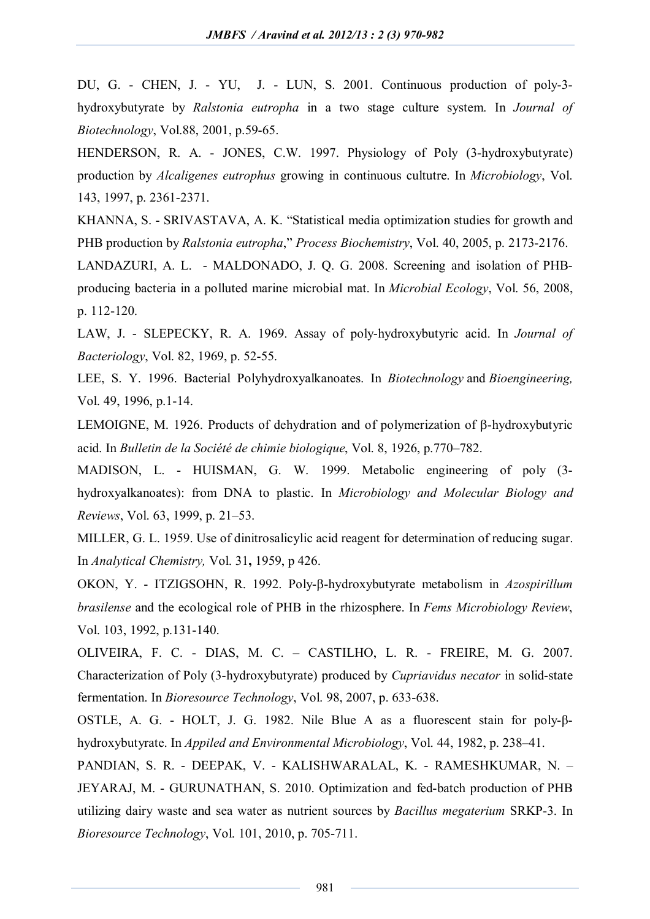DU, G. - CHEN, J. - YU, J. - LUN, S. 2001. Continuous production of poly-3 hydroxybutyrate by *Ralstonia eutropha* in a two stage culture system. In *Journal of Biotechnology*, Vol.88, 2001, p.59-65.

HENDERSON, R. A. - JONES, C.W. 1997. Physiology of Poly (3-hydroxybutyrate) production by *Alcaligenes eutrophus* growing in continuous cultutre. In *Microbiology*, Vol. 143, 1997, p. 2361-2371.

KHANNA, S. - SRIVASTAVA, A. K. "Statistical media optimization studies for growth and PHB production by *Ralstonia eutropha*," *Process Biochemistry*, Vol. 40, 2005, p. 2173-2176.

LANDAZURI, A. L. - MALDONADO, J. Q. G. 2008. Screening and isolation of PHBproducing bacteria in a polluted marine microbial mat. In *Microbial Ecology*, Vol. 56, 2008, p. 112-120.

LAW, J. - SLEPECKY, R. A. 1969. Assay of poly-hydroxybutyric acid. In *Journal of Bacteriology*, Vol. 82, 1969, p. 52-55.

LEE, S. Y. 1996. Bacterial Polyhydroxyalkanoates. In *Biotechnology* and *Bioengineering,* Vol. 49, 1996, p.1-14.

LEMOIGNE, M. 1926. Products of dehydration and of polymerization of  $\beta$ -hydroxybutyric acid. In *Bulletin de la Société de chimie biologique*, Vol. 8, 1926, p.770–782.

MADISON, L. - HUISMAN, G. W. 1999. Metabolic engineering of poly (3 hydroxyalkanoates): from DNA to plastic. In *Microbiology and Molecular Biology and Reviews*, Vol. 63, 1999, p. 21–53.

MILLER, G. L. 1959. Use of dinitrosalicylic acid reagent for determination of reducing sugar. In *Analytical Chemistry,* Vol. 31**,** 1959, p 426.

OKON, Y. - ITZIGSOHN, R. 1992. Poly-β-hydroxybutyrate metabolism in *Azospirillum brasilense* and the ecological role of PHB in the rhizosphere. In *Fems Microbiology Review*, Vol. 103, 1992, p.131-140.

OLIVEIRA, F. C. - DIAS, M. C. – CASTILHO, L. R. - FREIRE, M. G. 2007. Characterization of Poly (3-hydroxybutyrate) produced by *Cupriavidus necator* in solid-state fermentation. In *Bioresource Technology*, Vol. 98, 2007, p. 633-638.

OSTLE, A. G. - HOLT, J. G. 1982. Nile Blue A as a fluorescent stain for poly-βhydroxybutyrate. In *Appiled and Environmental Microbiology*, Vol. 44, 1982, p. 238–41.

PANDIAN, S. R. - DEEPAK, V. - KALISHWARALAL, K. - RAMESHKUMAR, N. – JEYARAJ, M. - GURUNATHAN, S. 2010. Optimization and fed-batch production of PHB utilizing dairy waste and sea water as nutrient sources by *Bacillus megaterium* SRKP-3. In *Bioresource Technology*, Vol. 101, 2010, p. 705-711.